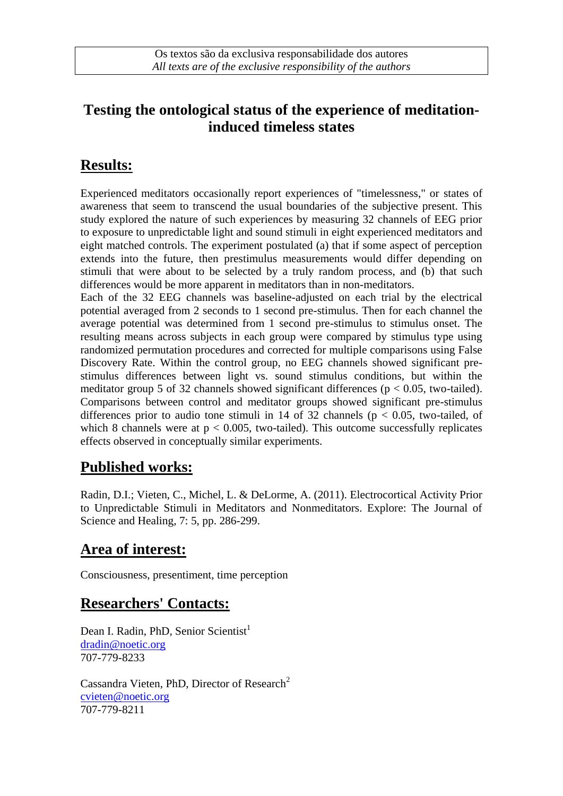## **Testing the ontological status of the experience of meditationinduced timeless states**

# **Results:**

Experienced meditators occasionally report experiences of "timelessness," or states of awareness that seem to transcend the usual boundaries of the subjective present. This study explored the nature of such experiences by measuring 32 channels of EEG prior to exposure to unpredictable light and sound stimuli in eight experienced meditators and eight matched controls. The experiment postulated (a) that if some aspect of perception extends into the future, then prestimulus measurements would differ depending on stimuli that were about to be selected by a truly random process, and (b) that such differences would be more apparent in meditators than in non-meditators.

Each of the 32 EEG channels was baseline-adjusted on each trial by the electrical potential averaged from 2 seconds to 1 second pre-stimulus. Then for each channel the average potential was determined from 1 second pre-stimulus to stimulus onset. The resulting means across subjects in each group were compared by stimulus type using randomized permutation procedures and corrected for multiple comparisons using False Discovery Rate. Within the control group, no EEG channels showed significant prestimulus differences between light vs. sound stimulus conditions, but within the meditator group 5 of 32 channels showed significant differences ( $p < 0.05$ , two-tailed). Comparisons between control and meditator groups showed significant pre-stimulus differences prior to audio tone stimuli in 14 of 32 channels ( $p < 0.05$ , two-tailed, of which 8 channels were at  $p < 0.005$ , two-tailed). This outcome successfully replicates effects observed in conceptually similar experiments.

## **Published works:**

Radin, D.I.; Vieten, C., Michel, L. & DeLorme, A. (2011). Electrocortical Activity Prior to Unpredictable Stimuli in Meditators and Nonmeditators. Explore: The Journal of Science and Healing, 7: 5, pp. 286-299.

## **Area of interest:**

Consciousness, presentiment, time perception

## **Researchers' Contacts:**

Dean I. Radin, PhD, Senior Scientist<sup>1</sup> [dradin@noetic.org](mailto:dradin@noetic.org) 707-779-8233

Cassandra Vieten, PhD, Director of Research<sup>2</sup> [cvieten@noetic.org](mailto:cvieten@noetic.org) 707-779-8211